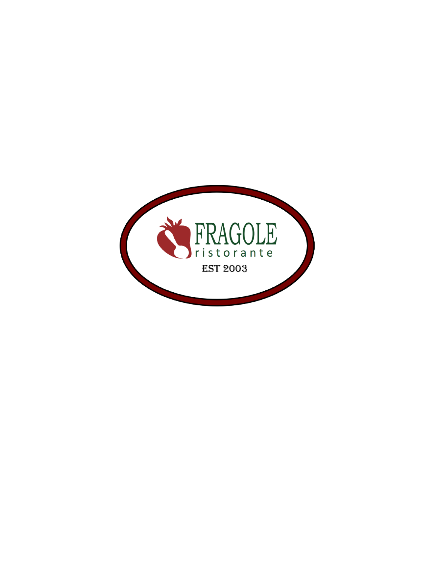